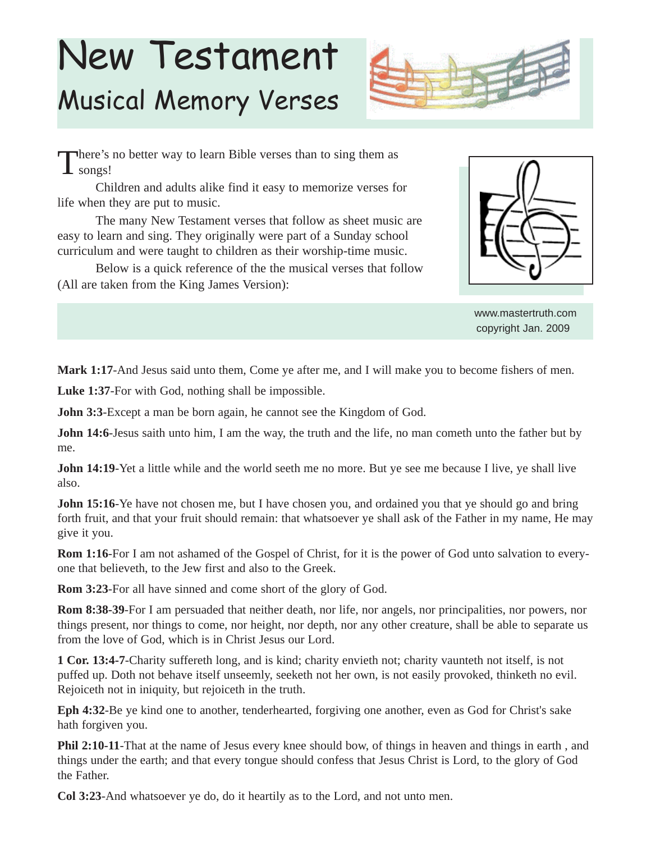## New Testament Musical Memory Verses



There's no better way to learn Bible verses than to sing them as  $\perp$  songs!

Children and adults alike find it easy to memorize verses for life when they are put to music.

The many New Testament verses that follow as sheet music are easy to learn and sing. They originally were part of a Sunday school curriculum and were taught to children as their worship-time music.

Below is a quick reference of the the musical verses that follow (All are taken from the King James Version):



www.mastertruth.com copyright Jan. 2009

**Mark 1:17**-And Jesus said unto them, Come ye after me, and I will make you to become fishers of men.

**Luke 1:37**-For with God, nothing shall be impossible.

**John 3:3-Except a man be born again, he cannot see the Kingdom of God.** 

**John 14:6**-Jesus saith unto him, I am the way, the truth and the life, no man cometh unto the father but by me.

**John 14:19-Yet a little while and the world seeth me no more. But ye see me because I live, ye shall live** also.

**John 15:16**-Ye have not chosen me, but I have chosen you, and ordained you that ye should go and bring forth fruit, and that your fruit should remain: that whatsoever ye shall ask of the Father in my name, He may give it you.

**Rom 1:16**-For I am not ashamed of the Gospel of Christ, for it is the power of God unto salvation to everyone that believeth, to the Jew first and also to the Greek.

**Rom 3:23**-For all have sinned and come short of the glory of God.

**Rom 8:38-39**-For I am persuaded that neither death, nor life, nor angels, nor principalities, nor powers, nor things present, nor things to come, nor height, nor depth, nor any other creature, shall be able to separate us from the love of God, which is in Christ Jesus our Lord.

**1 Cor. 13:4-7**-Charity suffereth long, and is kind; charity envieth not; charity vaunteth not itself, is not puffed up. Doth not behave itself unseemly, seeketh not her own, is not easily provoked, thinketh no evil. Rejoiceth not in iniquity, but rejoiceth in the truth.

**Eph 4:32**-Be ye kind one to another, tenderhearted, forgiving one another, even as God for Christ's sake hath forgiven you.

**Phil 2:10-11**-That at the name of Jesus every knee should bow, of things in heaven and things in earth, and things under the earth; and that every tongue should confess that Jesus Christ is Lord, to the glory of God the Father.

**Col 3:23**-And whatsoever ye do, do it heartily as to the Lord, and not unto men.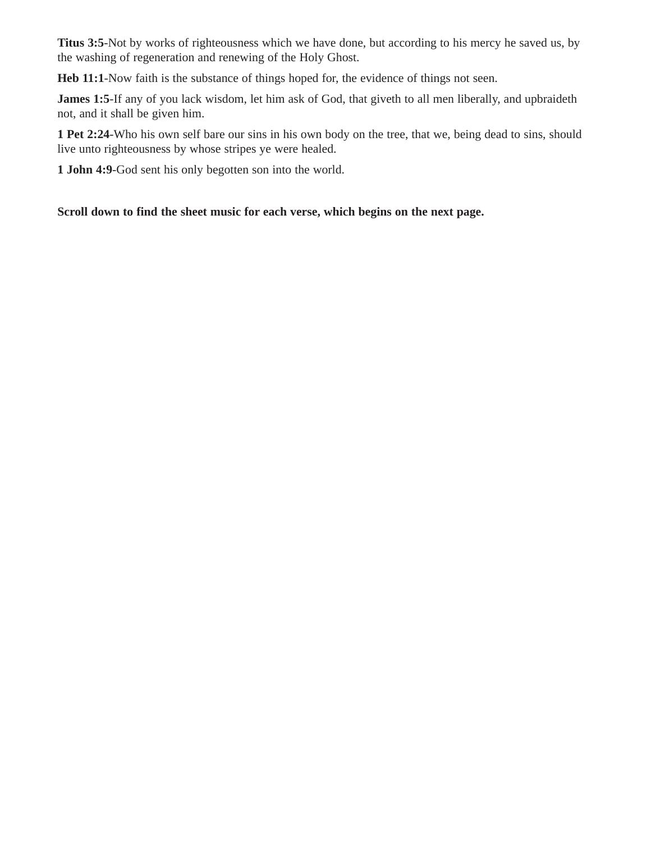**Titus 3:5**-Not by works of righteousness which we have done, but according to his mercy he saved us, by the washing of regeneration and renewing of the Holy Ghost.

**Heb 11:1**-Now faith is the substance of things hoped for, the evidence of things not seen.

James 1:5-If any of you lack wisdom, let him ask of God, that giveth to all men liberally, and upbraideth not, and it shall be given him.

**1 Pet 2:24**-Who his own self bare our sins in his own body on the tree, that we, being dead to sins, should live unto righteousness by whose stripes ye were healed.

**1 John 4:9**-God sent his only begotten son into the world.

## **Scroll down to find the sheet music for each verse, which begins on the next page.**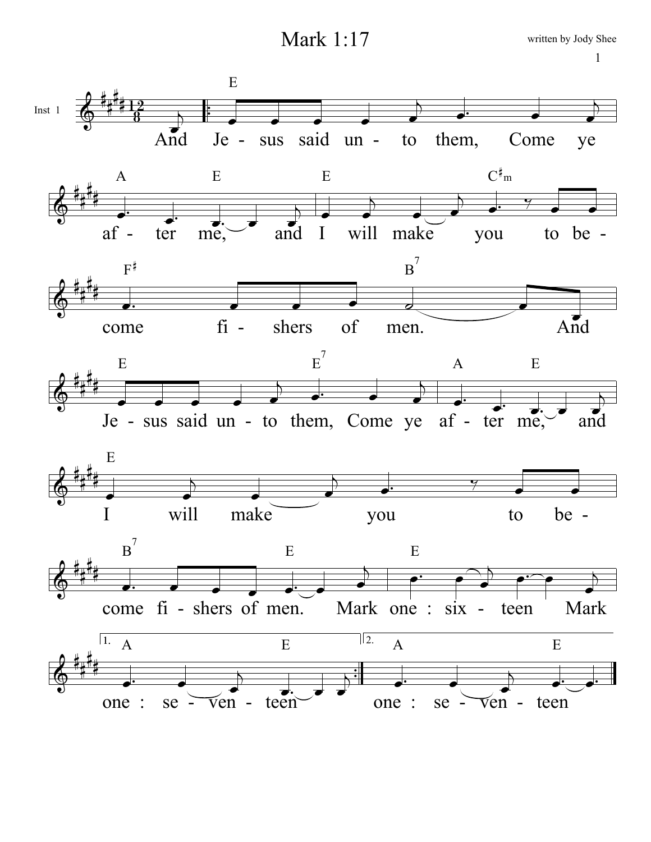Mark 1:17

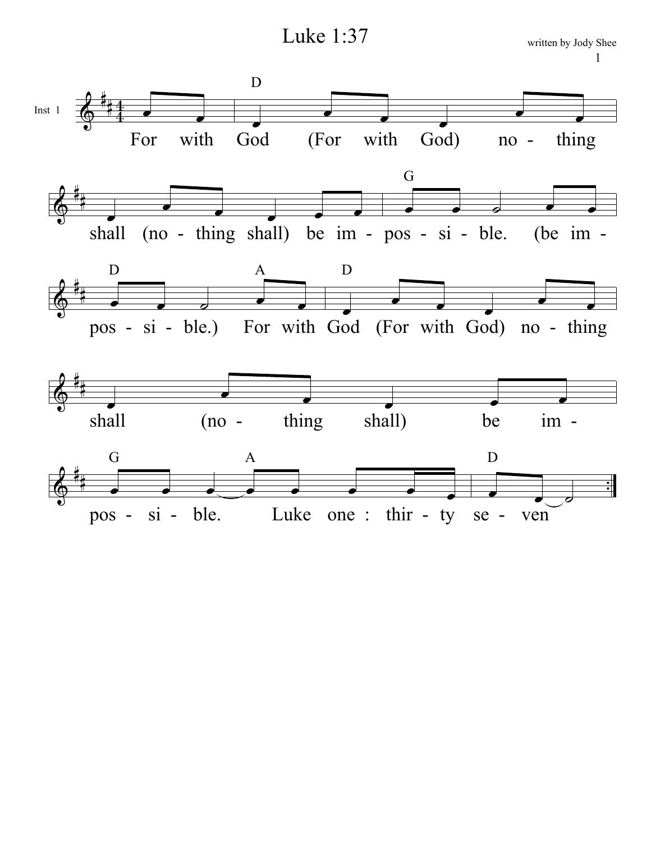Luke 1:37

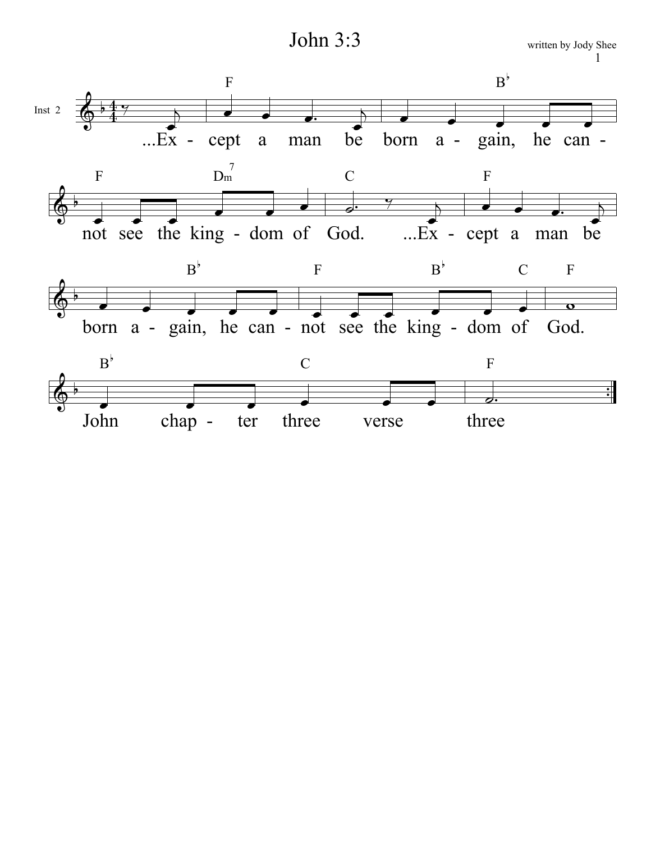John 3:3

written by Jody Shee  $\mathbf{1}$ 

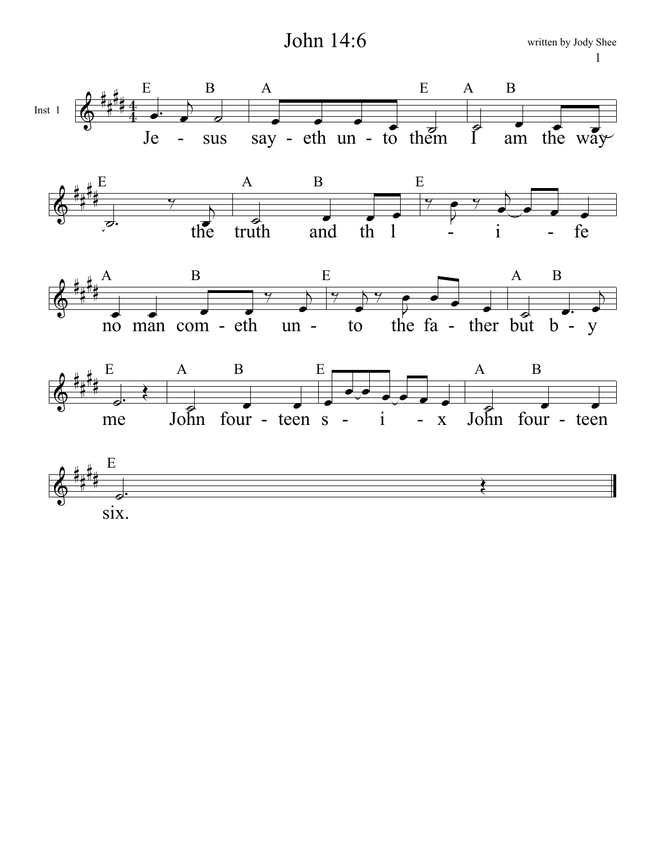John 14:6











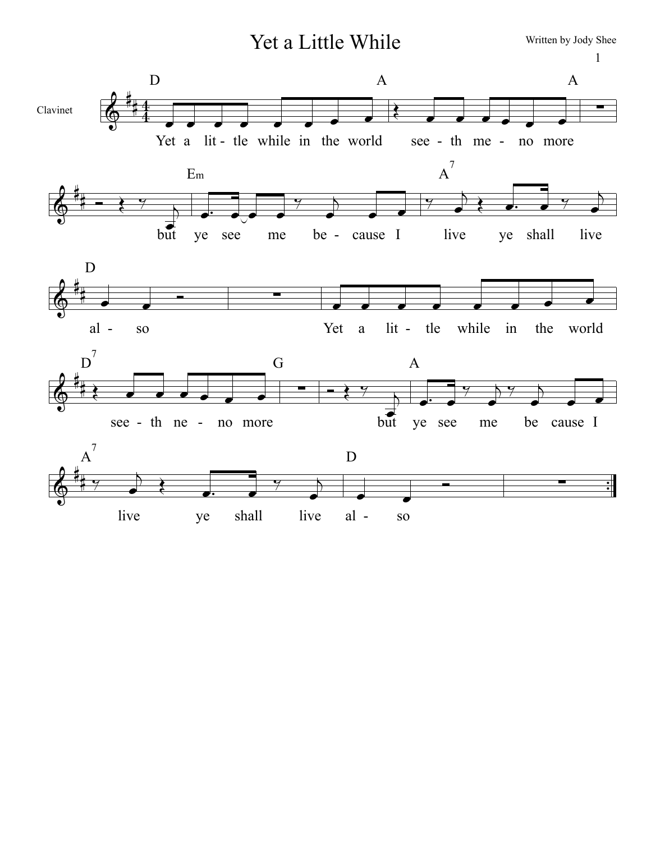Yet a Little While

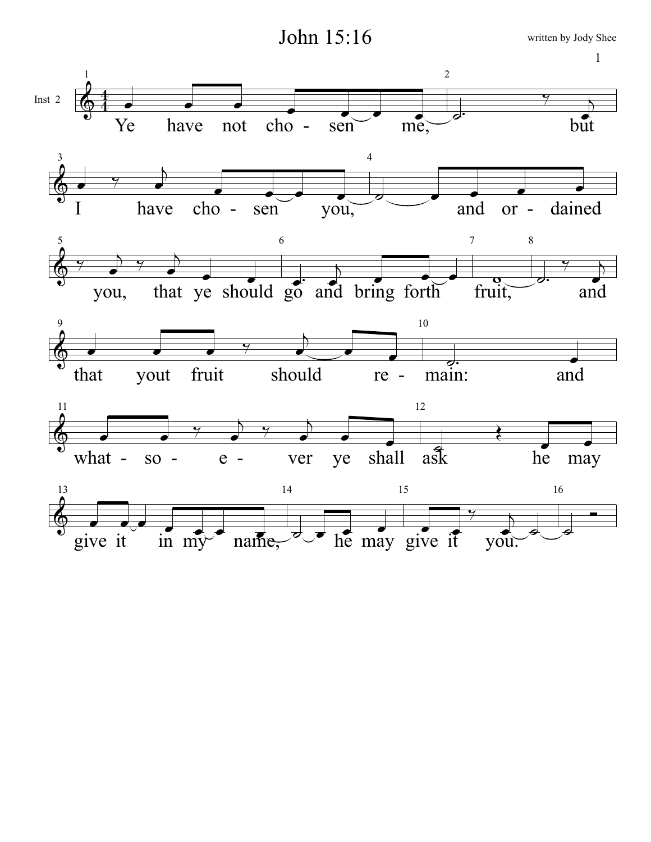John 15:16

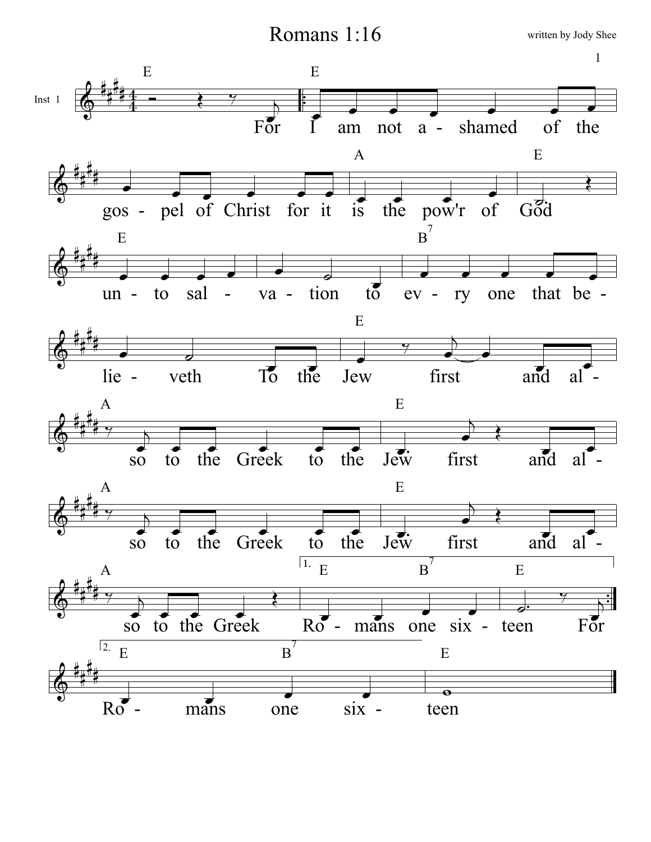Romans 1:16

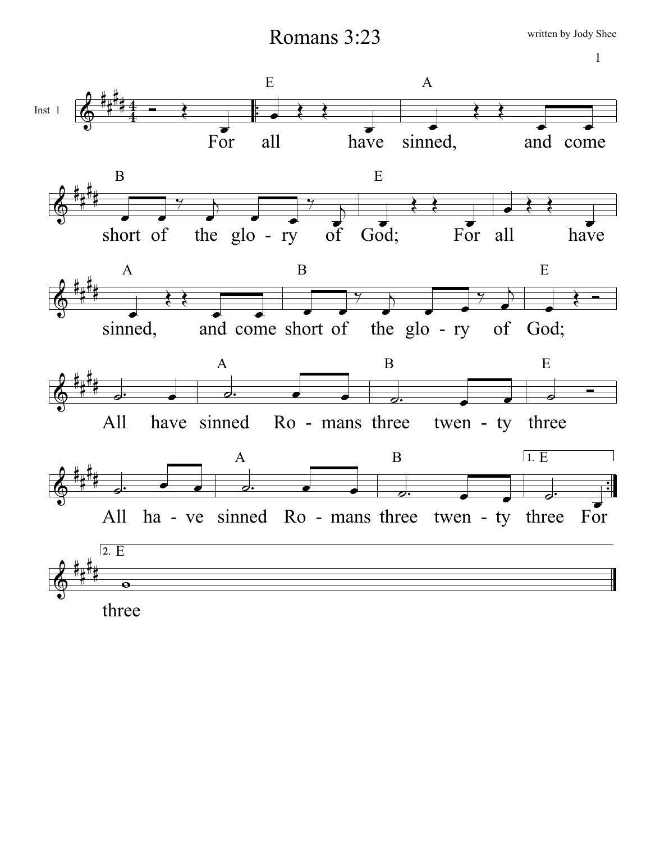Romans 3:23

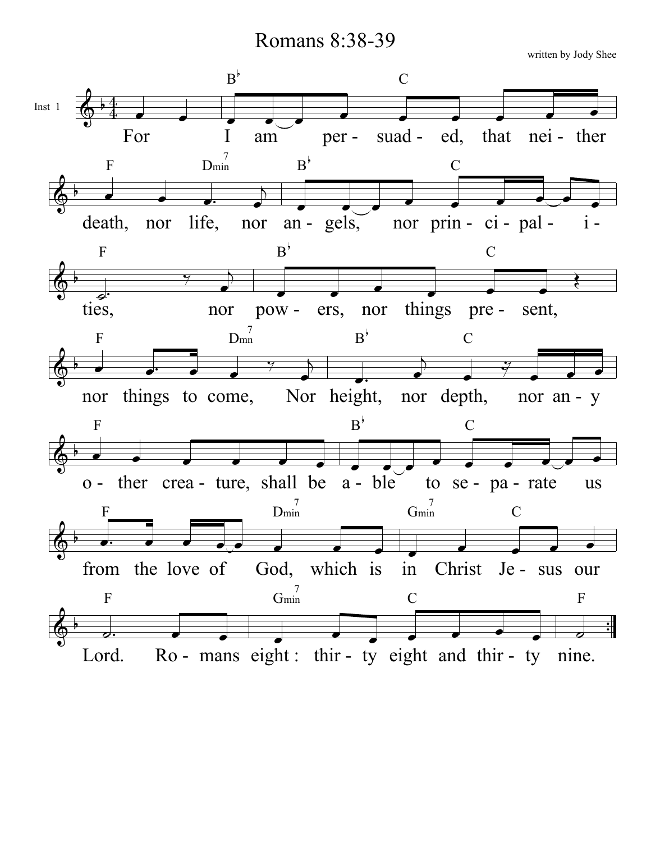Romans 8:38-39

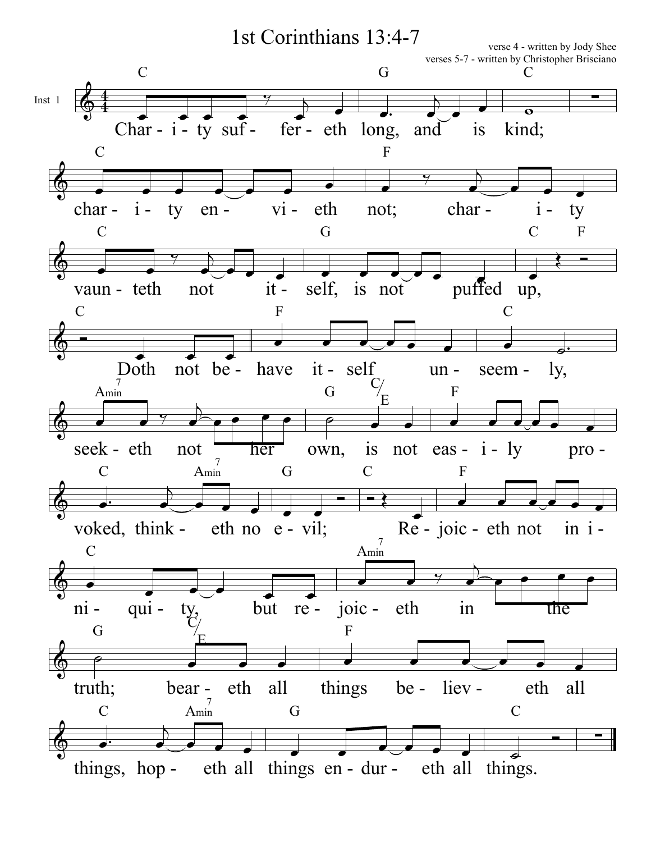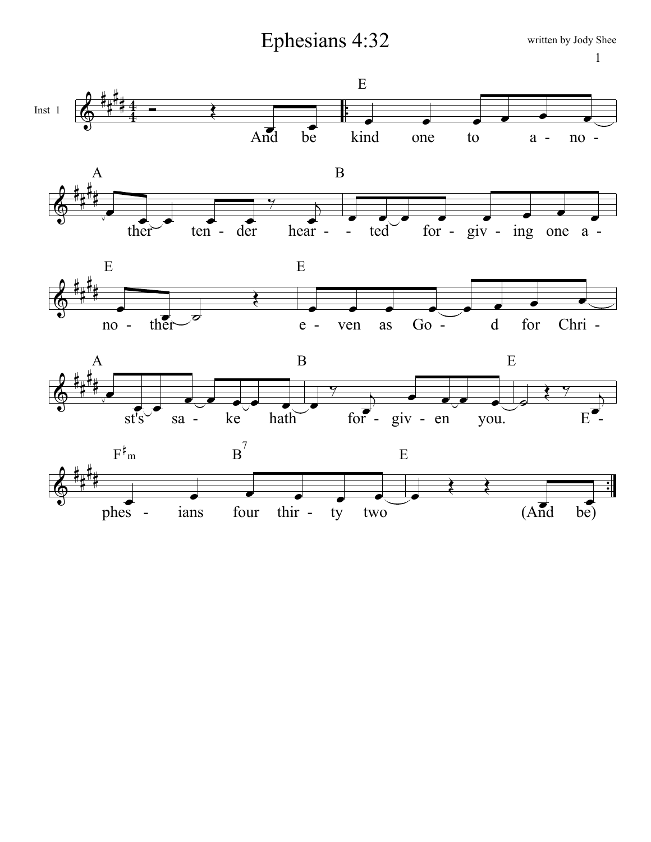Ephesians 4:32











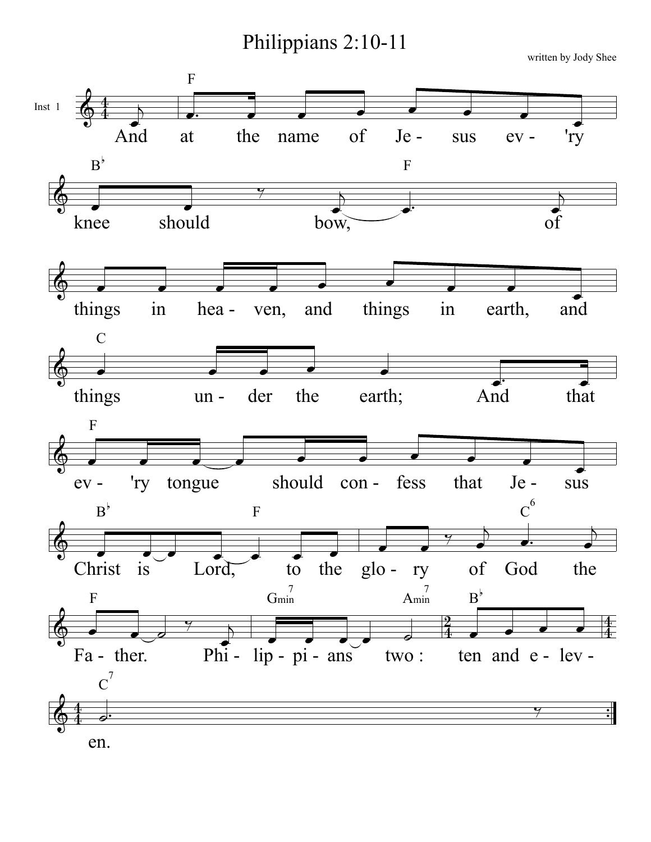Philippians 2:10-11



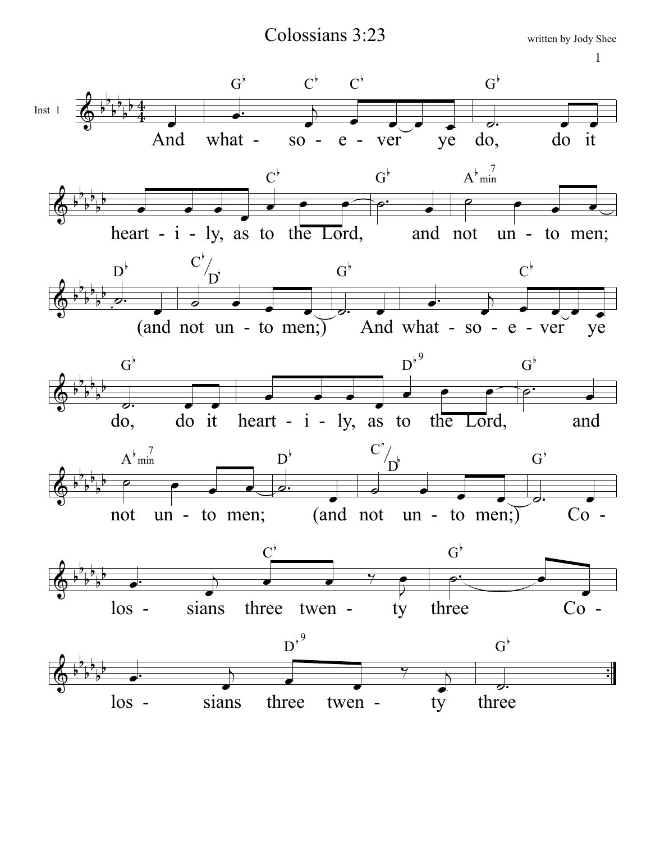Colossians 3:23

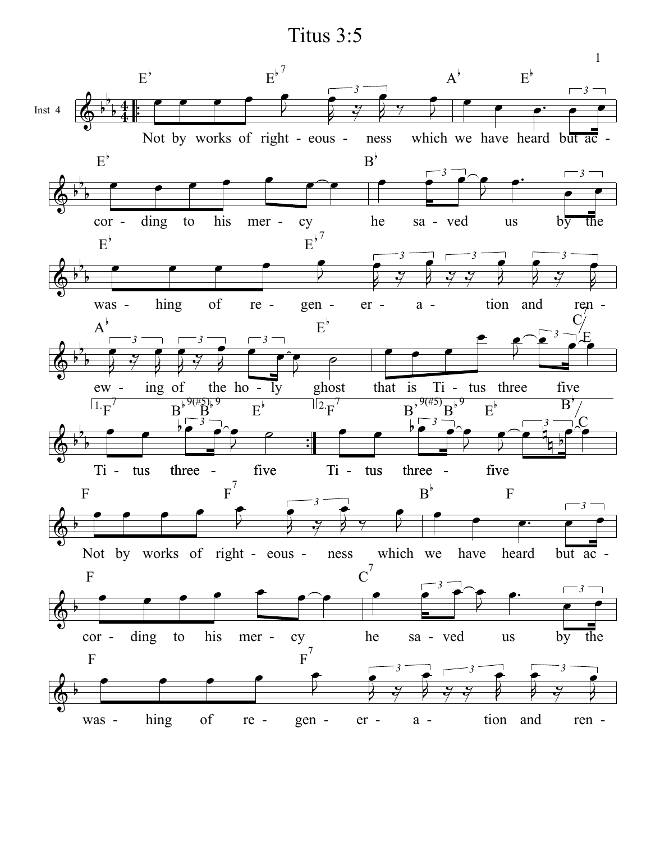Titus 3:5

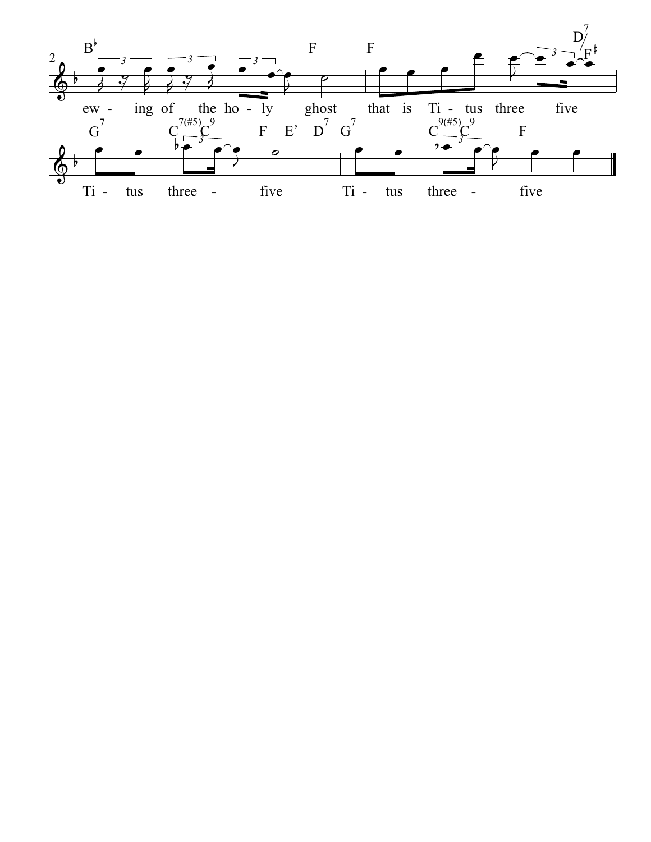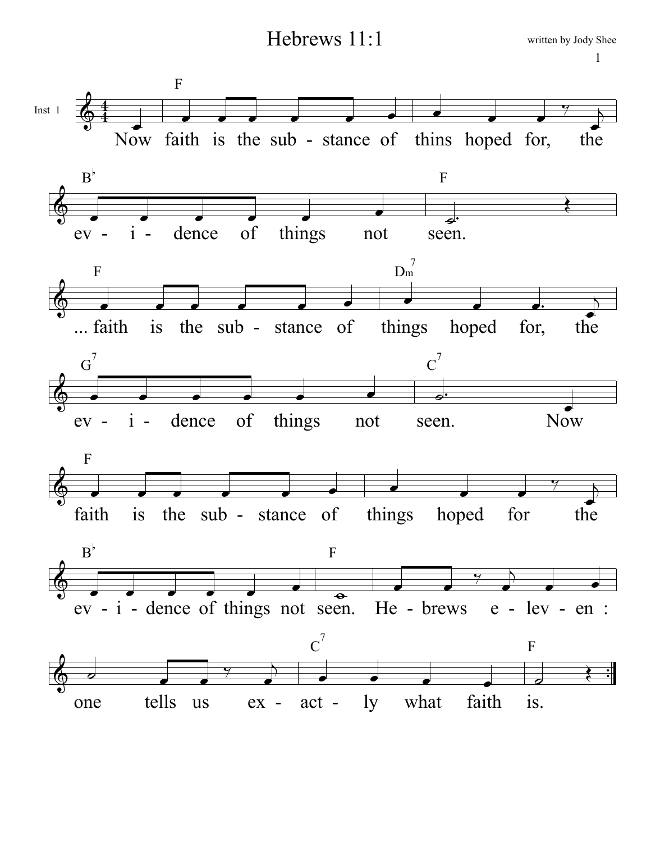Hebrews 11:1



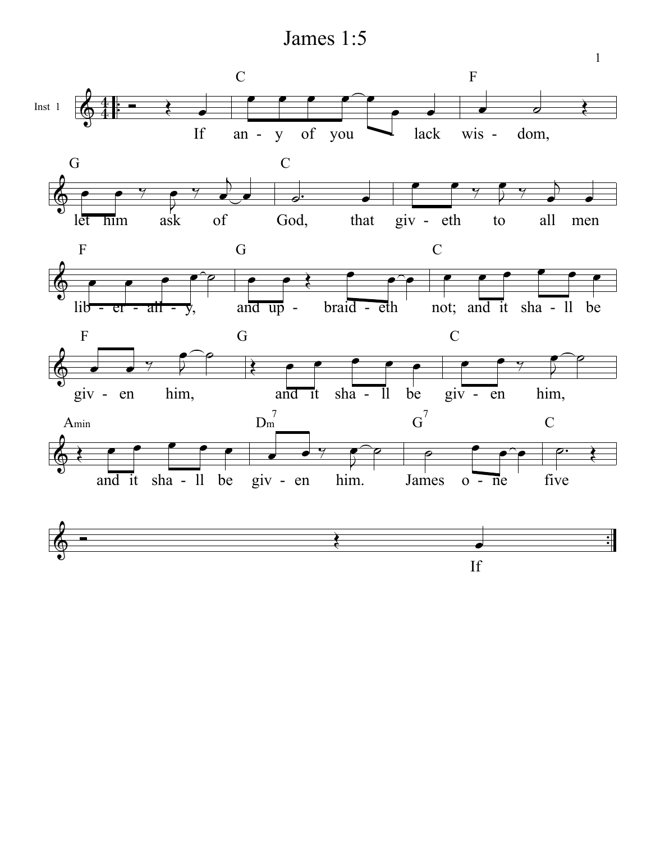James 1:5

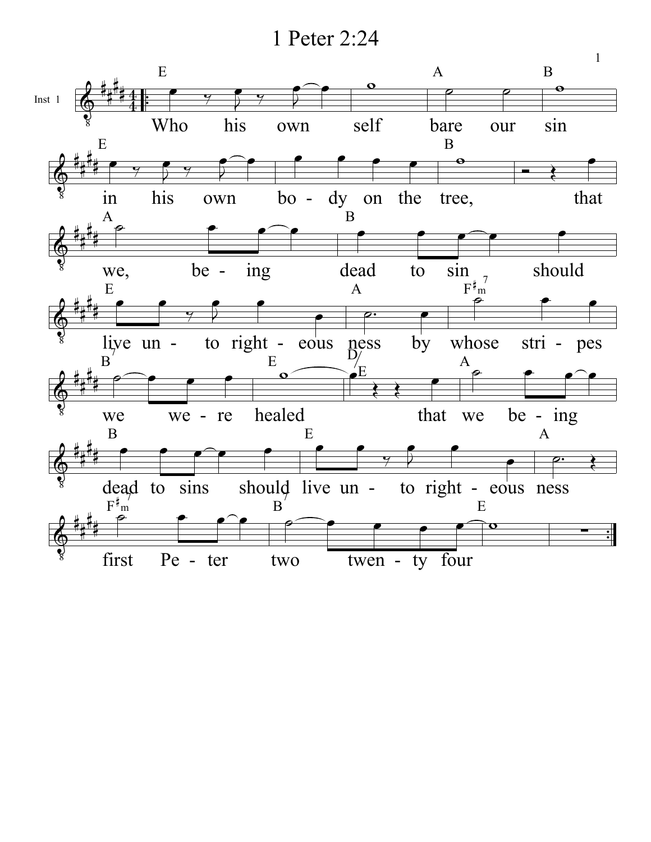1 Peter 2:24